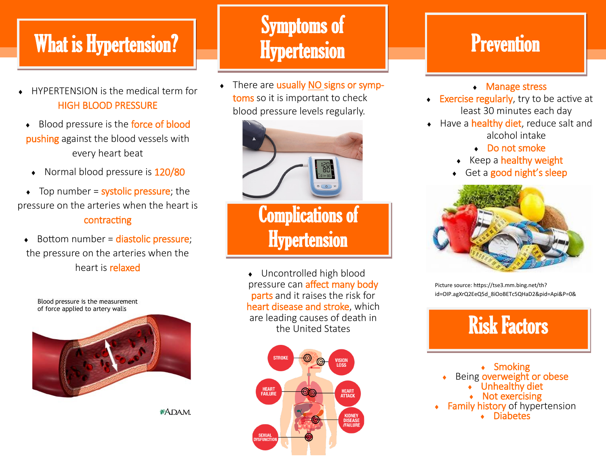## What is Hypertension?

- HYPERTENSION is the medical term for HIGH BLOOD PRESSURE
- Blood pressure is the force of blood pushing against the blood vessels with every heart beat
- Normal blood pressure is 120/80
- $\bullet$  Top number = systolic pressure; the pressure on the arteries when the heart is contracting
- Bottom number = diastolic pressure; the pressure on the arteries when the heart is relaxed

Blood pressure is the measurement of force applied to artery walls



#### \*ADAM.

## Symptoms of **Hypertension**

• There are usually NO signs or symptoms so it is important to check blood pressure levels regularly.



 Uncontrolled high blood pressure can affect many body parts and it raises the risk for heart disease and stroke, which are leading causes of death in the United States



### **Prevention**

### Manage stress

- **Exercise regularly**, try to be active at least 30 minutes each day
- Have a healthy diet, reduce salt and alcohol intake
	- ◆ Do not smoke
	- $\leftarrow$  Keep a healthy weight
	- Get a good night's sleep



Picture source: https://tse3.mm.bing.net/th? id=OIP.agXrQ2EeQ5d\_8iOoBETc5QHaD2&pid=Api&P=0&

## Risk Factors

 Smoking Being overweight or obese

- Unhealthy diet
- Not exercising
- Family history of hypertension Diabetes